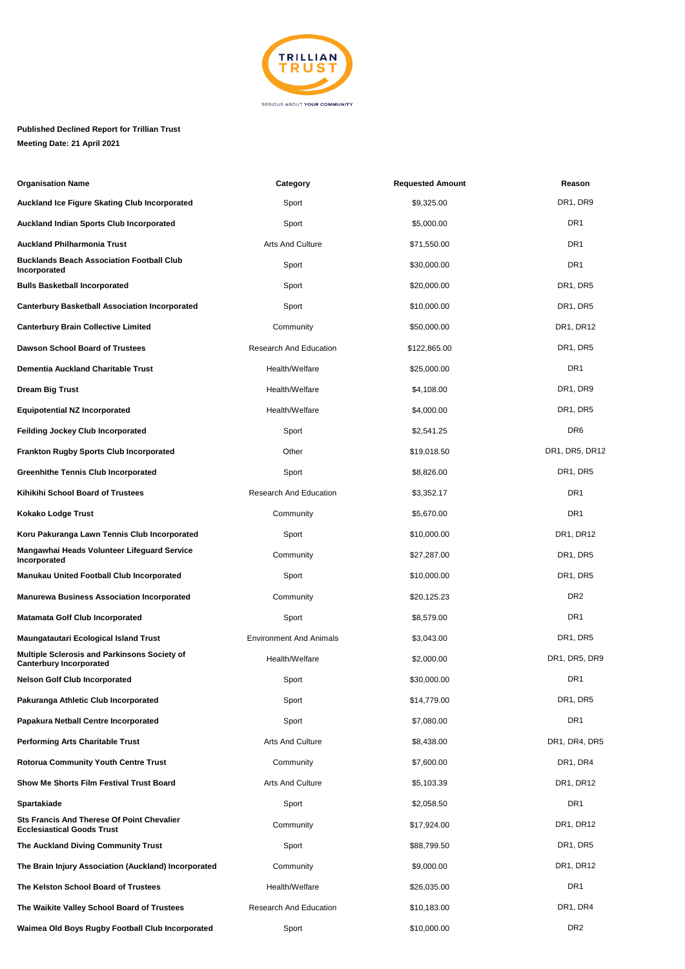

## **Published Declined Report for Trillian Trust Meeting Date: 21 April 2021**

| <b>Organisation Name</b>                                                               | Category                       | <b>Requested Amount</b> | Reason                            |
|----------------------------------------------------------------------------------------|--------------------------------|-------------------------|-----------------------------------|
| Auckland Ice Figure Skating Club Incorporated                                          | Sport                          | \$9,325.00              | DR1, DR9                          |
| Auckland Indian Sports Club Incorporated                                               | Sport                          | \$5,000.00              | DR1                               |
| <b>Auckland Philharmonia Trust</b>                                                     | <b>Arts And Culture</b>        | \$71,550.00             | DR <sub>1</sub>                   |
| <b>Bucklands Beach Association Football Club</b><br>Incorporated                       | Sport                          | \$30,000.00             | DR1                               |
| <b>Bulls Basketball Incorporated</b>                                                   | Sport                          | \$20,000.00             | DR1, DR5                          |
| <b>Canterbury Basketball Association Incorporated</b>                                  | Sport                          | \$10,000.00             | DR <sub>1</sub> , DR <sub>5</sub> |
| <b>Canterbury Brain Collective Limited</b>                                             | Community                      | \$50,000.00             | DR1, DR12                         |
| Dawson School Board of Trustees                                                        | Research And Education         | \$122,865.00            | DR1, DR5                          |
| Dementia Auckland Charitable Trust                                                     | Health/Welfare                 | \$25,000.00             | DR <sub>1</sub>                   |
| Dream Big Trust                                                                        | Health/Welfare                 | \$4,108.00              | DR1, DR9                          |
| Equipotential NZ Incorporated                                                          | Health/Welfare                 | \$4,000.00              | DR1, DR5                          |
| Feilding Jockey Club Incorporated                                                      | Sport                          | \$2,541.25              | DR <sub>6</sub>                   |
| <b>Frankton Rugby Sports Club Incorporated</b>                                         | Other                          | \$19,018.50             | DR1, DR5, DR12                    |
| <b>Greenhithe Tennis Club Incorporated</b>                                             | Sport                          | \$8,826.00              | DR <sub>1</sub> , DR <sub>5</sub> |
| Kihikihi School Board of Trustees                                                      | <b>Research And Education</b>  | \$3,352.17              | DR <sub>1</sub>                   |
| Kokako Lodge Trust                                                                     | Community                      | \$5,670.00              | DR1                               |
| Koru Pakuranga Lawn Tennis Club Incorporated                                           | Sport                          | \$10,000.00             | DR1, DR12                         |
| Mangawhai Heads Volunteer Lifeguard Service<br>Incorporated                            | Community                      | \$27,287.00             | DR <sub>1</sub> , DR <sub>5</sub> |
| Manukau United Football Club Incorporated                                              | Sport                          | \$10,000.00             | DR1, DR5                          |
| <b>Manurewa Business Association Incorporated</b>                                      | Community                      | \$20,125.23             | DR <sub>2</sub>                   |
| <b>Matamata Golf Club Incorporated</b>                                                 | Sport                          | \$8,579.00              | DR <sub>1</sub>                   |
| Maungatautari Ecological Island Trust                                                  | <b>Environment And Animals</b> | \$3,043.00              | DR1, DR5                          |
| Multiple Sclerosis and Parkinsons Society of<br><b>Canterbury Incorporated</b>         | Health/Welfare                 | \$2,000.00              | DR1, DR5, DR9                     |
| <b>Nelson Golf Club Incorporated</b>                                                   | Sport                          | \$30,000.00             | DR1                               |
| Pakuranga Athletic Club Incorporated                                                   | Sport                          | \$14,779.00             | DR1, DR5                          |
| Papakura Netball Centre Incorporated                                                   | Sport                          | \$7,080.00              | DR1                               |
| Performing Arts Charitable Trust                                                       | <b>Arts And Culture</b>        | \$8,438.00              | DR1, DR4, DR5                     |
| Rotorua Community Youth Centre Trust                                                   | Community                      | \$7,600.00              | DR1, DR4                          |
| Show Me Shorts Film Festival Trust Board                                               | <b>Arts And Culture</b>        | \$5,103.39              | DR1, DR12                         |
| Spartakiade                                                                            | Sport                          | \$2,058.50              | DR <sub>1</sub>                   |
| <b>Sts Francis And Therese Of Point Chevalier</b><br><b>Ecclesiastical Goods Trust</b> | Community                      | \$17,924.00             | DR1, DR12                         |
| The Auckland Diving Community Trust                                                    | Sport                          | \$88,799.50             | DR1, DR5                          |
| The Brain Injury Association (Auckland) Incorporated                                   | Community                      | \$9,000.00              | DR1, DR12                         |
| The Kelston School Board of Trustees                                                   | Health/Welfare                 | \$26,035.00             | DR <sub>1</sub>                   |
| The Waikite Valley School Board of Trustees                                            | <b>Research And Education</b>  | \$10,183.00             | DR1, DR4                          |
| Waimea Old Boys Rugby Football Club Incorporated                                       | Sport                          | \$10,000.00             | DR <sub>2</sub>                   |